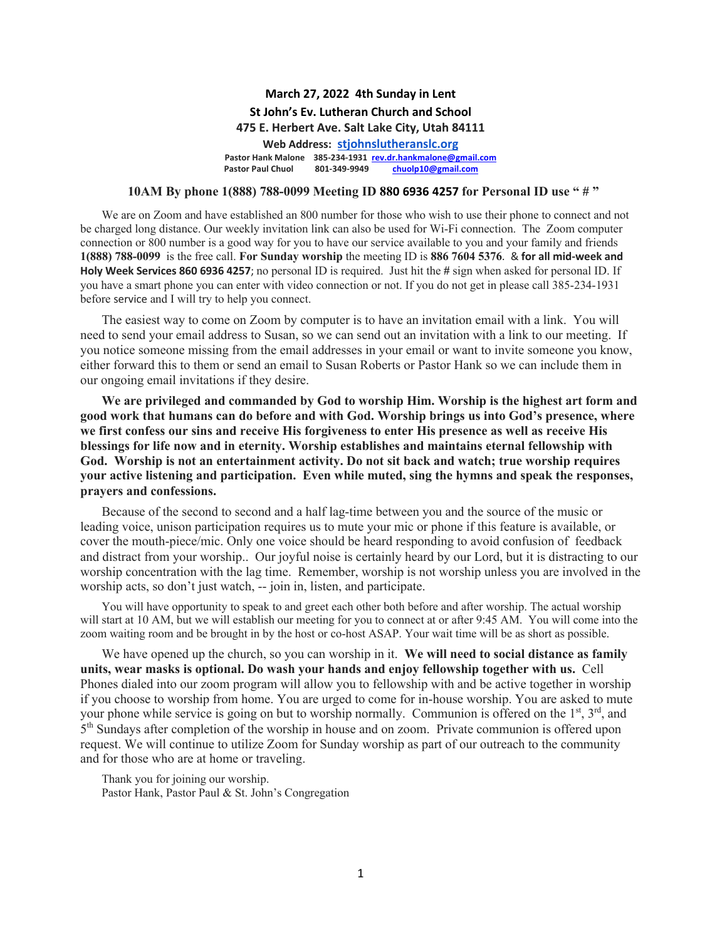#### **March 27, 2022 4th Sunday in Lent St John's Ev. Lutheran Church and School 475 E. Herbert Ave. Salt Lake City, Utah 84111 Web Address: stjohnslutheranslc.org Pastor Hank Malone 385-234-1931 rev.dr.hankmalone@gmail.com Pastor Paul Chuol 801-349-9949 chuolp10@gmail.com**

#### **10AM By phone 1(888) 788-0099 Meeting ID 880 6936 4257 for Personal ID use " # "**

We are on Zoom and have established an 800 number for those who wish to use their phone to connect and not be charged long distance. Our weekly invitation link can also be used for Wi-Fi connection. The Zoom computer connection or 800 number is a good way for you to have our service available to you and your family and friends **1(888) 788-0099** is the free call. **For Sunday worship** the meeting ID is **886 7604 5376**. & **for all mid-week and Holy Week Services 860 6936 4257**; no personal ID is required. Just hit the **#** sign when asked for personal ID. If you have a smart phone you can enter with video connection or not. If you do not get in please call 385-234-1931 before service and I will try to help you connect.

The easiest way to come on Zoom by computer is to have an invitation email with a link. You will need to send your email address to Susan, so we can send out an invitation with a link to our meeting. If you notice someone missing from the email addresses in your email or want to invite someone you know, either forward this to them or send an email to Susan Roberts or Pastor Hank so we can include them in our ongoing email invitations if they desire.

**We are privileged and commanded by God to worship Him. Worship is the highest art form and good work that humans can do before and with God. Worship brings us into God's presence, where we first confess our sins and receive His forgiveness to enter His presence as well as receive His blessings for life now and in eternity. Worship establishes and maintains eternal fellowship with God. Worship is not an entertainment activity. Do not sit back and watch; true worship requires your active listening and participation. Even while muted, sing the hymns and speak the responses, prayers and confessions.**

Because of the second to second and a half lag-time between you and the source of the music or leading voice, unison participation requires us to mute your mic or phone if this feature is available, or cover the mouth-piece/mic. Only one voice should be heard responding to avoid confusion of feedback and distract from your worship.. Our joyful noise is certainly heard by our Lord, but it is distracting to our worship concentration with the lag time. Remember, worship is not worship unless you are involved in the worship acts, so don't just watch, -- join in, listen, and participate.

You will have opportunity to speak to and greet each other both before and after worship. The actual worship will start at 10 AM, but we will establish our meeting for you to connect at or after 9:45 AM. You will come into the zoom waiting room and be brought in by the host or co-host ASAP. Your wait time will be as short as possible.

We have opened up the church, so you can worship in it. **We will need to social distance as family units, wear masks is optional. Do wash your hands and enjoy fellowship together with us.** Cell Phones dialed into our zoom program will allow you to fellowship with and be active together in worship if you choose to worship from home. You are urged to come for in-house worship. You are asked to mute your phone while service is going on but to worship normally. Communion is offered on the  $1<sup>st</sup>$ ,  $3<sup>rd</sup>$ , and  $5<sup>th</sup>$  Sundays after completion of the worship in house and on zoom. Private communion is offered upon request. We will continue to utilize Zoom for Sunday worship as part of our outreach to the community and for those who are at home or traveling.

Thank you for joining our worship.

Pastor Hank, Pastor Paul & St. John's Congregation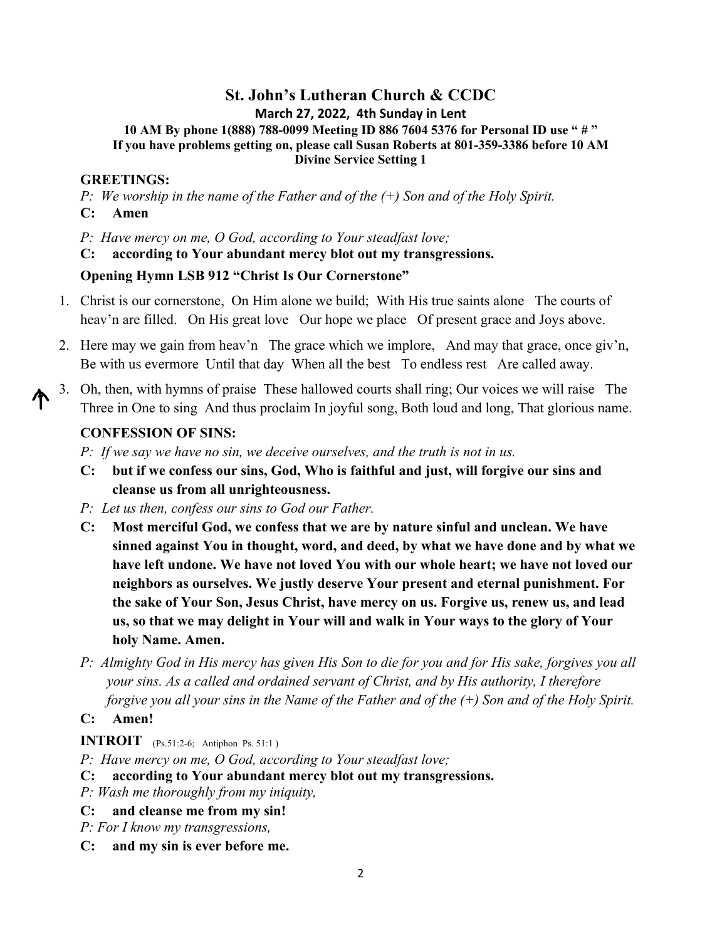# **St. John's Lutheran Church & CCDC**

**March 27, 2022, 4th Sunday in Lent**

**10 AM By phone 1(888) 788-0099 Meeting ID 886 7604 5376 for Personal ID use " # " If you have problems getting on, please call Susan Roberts at 801-359-3386 before 10 AM Divine Service Setting 1** 

#### **GREETINGS:**

*P: We worship in the name of the Father and of the (+) Son and of the Holy Spirit.* **C: Amen**

*P: Have mercy on me, O God, according to Your steadfast love;* 

**C: according to Your abundant mercy blot out my transgressions.**

#### **Opening Hymn LSB 912 "Christ Is Our Cornerstone"**

- 1. Christ is our cornerstone, On Him alone we build; With His true saints alone The courts of heav'n are filled. On His great love Our hope we place Of present grace and Joys above.
- 2. Here may we gain from heav'n The grace which we implore, And may that grace, once giv'n, Be with us evermore Until that day When all the best To endless rest Are called away.
- 3. Oh, then, with hymns of praise These hallowed courts shall ring; Our voices we will raise The Three in One to sing And thus proclaim In joyful song, Both loud and long, That glorious name.

### **CONFESSION OF SINS:**

*P: If we say we have no sin, we deceive ourselves, and the truth is not in us.*

- **C: but if we confess our sins, God, Who is faithful and just, will forgive our sins and cleanse us from all unrighteousness.**
- *P: Let us then, confess our sins to God our Father.*
- **C: Most merciful God, we confess that we are by nature sinful and unclean. We have sinned against You in thought, word, and deed, by what we have done and by what we have left undone. We have not loved You with our whole heart; we have not loved our neighbors as ourselves. We justly deserve Your present and eternal punishment. For the sake of Your Son, Jesus Christ, have mercy on us. Forgive us, renew us, and lead us, so that we may delight in Your will and walk in Your ways to the glory of Your holy Name. Amen.**
- *P: Almighty God in His mercy has given His Son to die for you and for His sake, forgives you all your sins. As a called and ordained servant of Christ, and by His authority, I therefore forgive you all your sins in the Name of the Father and of the (+) Son and of the Holy Spirit.*

### **C: Amen!**

**INTROIT** (Ps.51:2-6; Antiphon Ps. 51:1 )

- *P: Have mercy on me, O God, according to Your steadfast love;*
- **C: according to Your abundant mercy blot out my transgressions.**
- *P: Wash me thoroughly from my iniquity,*
- **C: and cleanse me from my sin!**
- *P: For I know my transgressions,*
- **C: and my sin is ever before me.**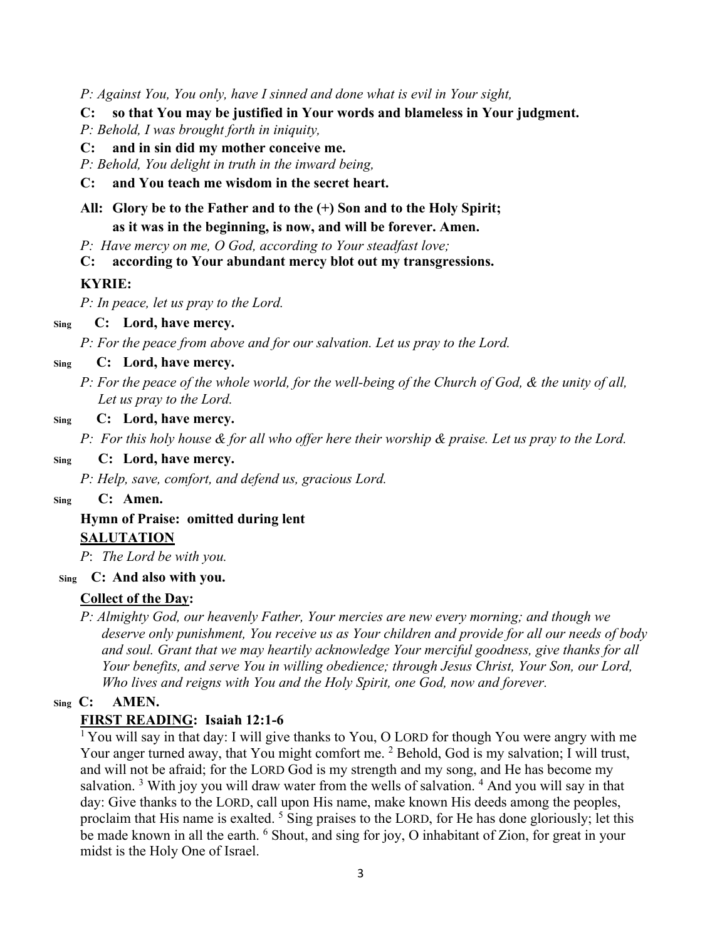*P: Against You, You only, have I sinned and done what is evil in Your sight,*

**C: so that You may be justified in Your words and blameless in Your judgment.**

*P: Behold, I was brought forth in iniquity,*

**C: and in sin did my mother conceive me.**

*P: Behold, You delight in truth in the inward being,*

**C: and You teach me wisdom in the secret heart.**

## **All: Glory be to the Father and to the (+) Son and to the Holy Spirit; as it was in the beginning, is now, and will be forever. Amen.**

*P: Have mercy on me, O God, according to Your steadfast love;* 

**C: according to Your abundant mercy blot out my transgressions.**

## **KYRIE:**

*P: In peace, let us pray to the Lord.*

#### **Sing C: Lord, have mercy.**

*P: For the peace from above and for our salvation. Let us pray to the Lord.*

### **Sing C: Lord, have mercy.**

*P: For the peace of the whole world, for the well-being of the Church of God, & the unity of all, Let us pray to the Lord.*

#### **Sing C: Lord, have mercy.**

*P: For this holy house & for all who offer here their worship & praise. Let us pray to the Lord.*

#### **Sing C: Lord, have mercy.**

*P: Help, save, comfort, and defend us, gracious Lord.*

#### **Sing C: Amen.**

# **Hymn of Praise: omitted during lent SALUTATION**

*P*: *The Lord be with you.*

### **Sing C: And also with you.**

## **Collect of the Day:**

*P: Almighty God, our heavenly Father, Your mercies are new every morning; and though we deserve only punishment, You receive us as Your children and provide for all our needs of body and soul. Grant that we may heartily acknowledge Your merciful goodness, give thanks for all Your benefits, and serve You in willing obedience; through Jesus Christ, Your Son, our Lord, Who lives and reigns with You and the Holy Spirit, one God, now and forever.*

### **Sing C: AMEN.**

### **FIRST READING: Isaiah 12:1-6**

<sup>1</sup> You will say in that day: I will give thanks to You, O LORD for though You were angry with me Your anger turned away, that You might comfort me. <sup>2</sup> Behold, God is my salvation; I will trust, and will not be afraid; for the LORD God is my strength and my song, and He has become my salvation.<sup>3</sup> With joy you will draw water from the wells of salvation.<sup>4</sup> And you will say in that day: Give thanks to the LORD, call upon His name, make known His deeds among the peoples, proclaim that His name is exalted. <sup>5</sup> Sing praises to the LORD, for He has done gloriously; let this be made known in all the earth. <sup>6</sup> Shout, and sing for joy, O inhabitant of Zion, for great in your midst is the Holy One of Israel.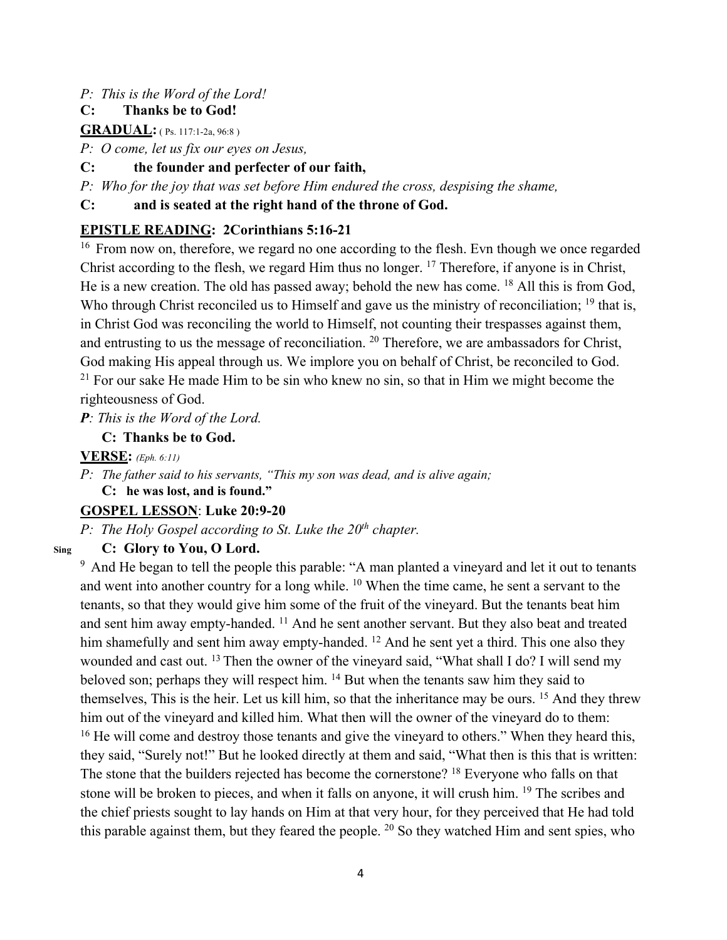#### *P: This is the Word of the Lord!*

#### **C: Thanks be to God!**

**GRADUAL:** (Ps. 117:1-2a, 96:8)

*P: O come, let us fix our eyes on Jesus,* 

#### **C: the founder and perfecter of our faith,**

*P: Who for the joy that was set before Him endured the cross, despising the shame,* 

**C: and is seated at the right hand of the throne of God.**

### **EPISTLE READING: 2Corinthians 5:16-21**

<sup>16</sup> From now on, therefore, we regard no one according to the flesh. Evn though we once regarded Christ according to the flesh, we regard Him thus no longer. 17 Therefore, if anyone is in Christ, He is a new creation. The old has passed away; behold the new has come.  $^{18}$  All this is from God, Who through Christ reconciled us to Himself and gave us the ministry of reconciliation; <sup>19</sup> that is, in Christ God was reconciling the world to Himself, not counting their trespasses against them, and entrusting to us the message of reconciliation.  $20$  Therefore, we are ambassadors for Christ, God making His appeal through us. We implore you on behalf of Christ, be reconciled to God.<br><sup>21</sup> For our sake He made Him to be sin who knew no sin, so that in Him we might become the righteousness of God.

*P: This is the Word of the Lord.*

### **C: Thanks be to God.**

**VERSE:** *(Eph. 6:11)*

*P: The father said to his servants, "This my son was dead, and is alive again;* 

**C: he was lost, and is found."**

# **GOSPEL LESSON**: **Luke 20:9-20**

*P: The Holy Gospel according to St. Luke the 20<sup>th</sup> chapter.* 

## **Sing C: Glory to You, O Lord.**

 $9$  And He began to tell the people this parable: "A man planted a vineyard and let it out to tenants and went into another country for a long while.  $10$  When the time came, he sent a servant to the tenants, so that they would give him some of the fruit of the vineyard. But the tenants beat him and sent him away empty-handed. <sup>11</sup> And he sent another servant. But they also beat and treated him shamefully and sent him away empty-handed. <sup>12</sup> And he sent yet a third. This one also they wounded and cast out. <sup>13</sup> Then the owner of the vineyard said, "What shall I do? I will send my beloved son; perhaps they will respect him. 14 But when the tenants saw him they said to themselves, This is the heir. Let us kill him, so that the inheritance may be ours. 15 And they threw him out of the vineyard and killed him. What then will the owner of the vineyard do to them:<br><sup>16</sup> He will come and destroy those tenants and give the vineyard to others." When they heard this, they said, "Surely not!" But he looked directly at them and said, "What then is this that is written: The stone that the builders rejected has become the cornerstone? <sup>18</sup> Everyone who falls on that stone will be broken to pieces, and when it falls on anyone, it will crush him. <sup>19</sup> The scribes and the chief priests sought to lay hands on Him at that very hour, for they perceived that He had told this parable against them, but they feared the people.  $20$  So they watched Him and sent spies, who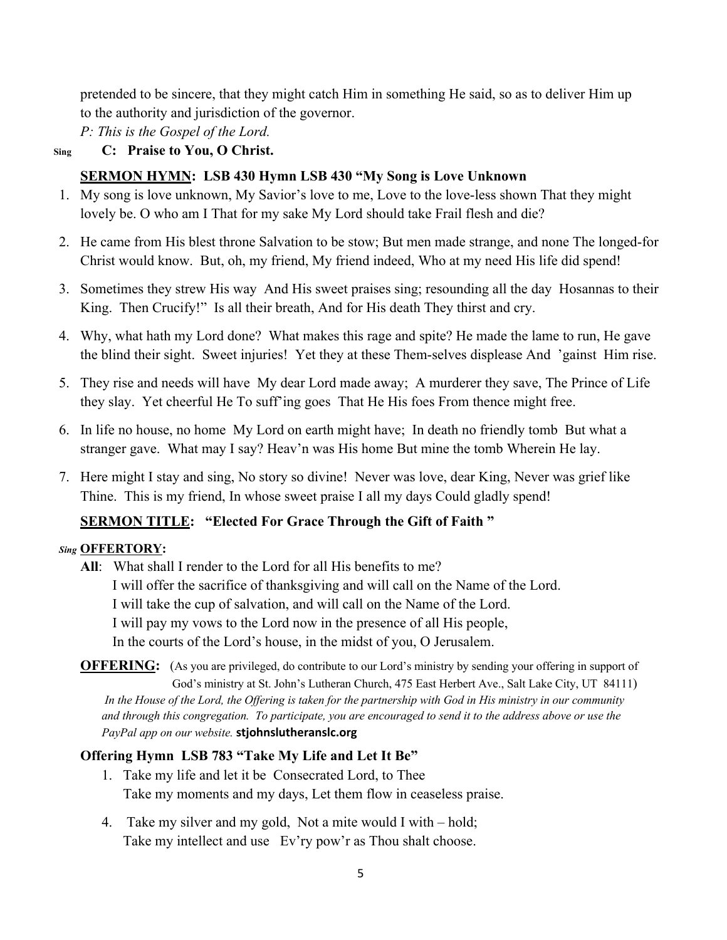pretended to be sincere, that they might catch Him in something He said, so as to deliver Him up to the authority and jurisdiction of the governor.

*P: This is the Gospel of the Lord.*

## **Sing C: Praise to You, O Christ.**

# **SERMON HYMN: LSB 430 Hymn LSB 430 "My Song is Love Unknown**

- 1. My song is love unknown, My Savior's love to me, Love to the love-less shown That they might lovely be. O who am I That for my sake My Lord should take Frail flesh and die?
- 2. He came from His blest throne Salvation to be stow; But men made strange, and none The longed-for Christ would know. But, oh, my friend, My friend indeed, Who at my need His life did spend!
- 3. Sometimes they strew His way And His sweet praises sing; resounding all the day Hosannas to their King. Then Crucify!" Is all their breath, And for His death They thirst and cry.
- 4. Why, what hath my Lord done? What makes this rage and spite? He made the lame to run, He gave the blind their sight. Sweet injuries! Yet they at these Them-selves displease And 'gainst Him rise.
- 5. They rise and needs will have My dear Lord made away; A murderer they save, The Prince of Life they slay. Yet cheerful He To suff'ing goes That He His foes From thence might free.
- 6. In life no house, no home My Lord on earth might have; In death no friendly tomb But what a stranger gave. What may I say? Heav'n was His home But mine the tomb Wherein He lay.
- 7. Here might I stay and sing, No story so divine! Never was love, dear King, Never was grief like Thine. This is my friend, In whose sweet praise I all my days Could gladly spend!

## **SERMON TITLE: "Elected For Grace Through the Gift of Faith "**

## *Sing* **OFFERTORY:**

**All**: What shall I render to the Lord for all His benefits to me? I will offer the sacrifice of thanksgiving and will call on the Name of the Lord. I will take the cup of salvation, and will call on the Name of the Lord. I will pay my vows to the Lord now in the presence of all His people, In the courts of the Lord's house, in the midst of you, O Jerusalem.

**OFFERING:** (As you are privileged, do contribute to our Lord's ministry by sending your offering in support of God's ministry at St. John's Lutheran Church, 475 East Herbert Ave., Salt Lake City, UT 84111) *In the House of the Lord, the Offering is taken for the partnership with God in His ministry in our community and through this congregation. To participate, you are encouraged to send it to the address above or use the PayPal app on our website.* **stjohnslutheranslc.org**

## **Offering Hymn LSB 783 "Take My Life and Let It Be"**

- 1. Take my life and let it be Consecrated Lord, to Thee Take my moments and my days, Let them flow in ceaseless praise.
- 4. Take my silver and my gold, Not a mite would I with hold; Take my intellect and use Ev'ry pow'r as Thou shalt choose.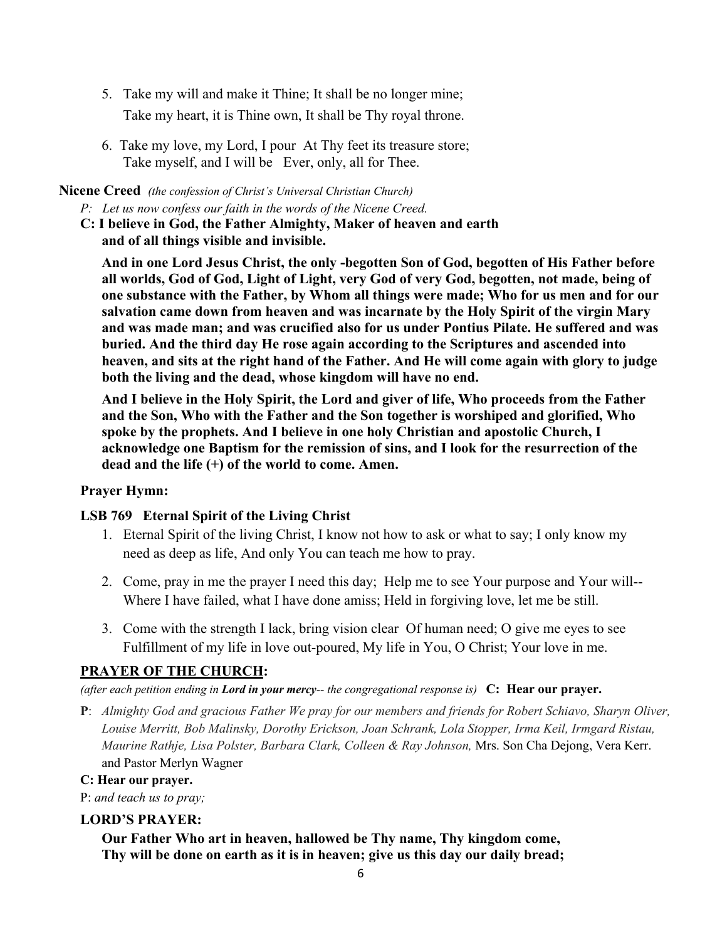- 5. Take my will and make it Thine; It shall be no longer mine; Take my heart, it is Thine own, It shall be Thy royal throne.
- 6. Take my love, my Lord, I pour At Thy feet its treasure store; Take myself, and I will be Ever, only, all for Thee.

#### **Nicene Creed** *(the confession of Christ's Universal Christian Church)*

*P: Let us now confess our faith in the words of the Nicene Creed.*

**C: I believe in God, the Father Almighty, Maker of heaven and earth and of all things visible and invisible.**

**And in one Lord Jesus Christ, the only -begotten Son of God, begotten of His Father before all worlds, God of God, Light of Light, very God of very God, begotten, not made, being of one substance with the Father, by Whom all things were made; Who for us men and for our salvation came down from heaven and was incarnate by the Holy Spirit of the virgin Mary and was made man; and was crucified also for us under Pontius Pilate. He suffered and was buried. And the third day He rose again according to the Scriptures and ascended into heaven, and sits at the right hand of the Father. And He will come again with glory to judge both the living and the dead, whose kingdom will have no end.**

**And I believe in the Holy Spirit, the Lord and giver of life, Who proceeds from the Father and the Son, Who with the Father and the Son together is worshiped and glorified, Who spoke by the prophets. And I believe in one holy Christian and apostolic Church, I acknowledge one Baptism for the remission of sins, and I look for the resurrection of the dead and the life (+) of the world to come. Amen.**

#### **Prayer Hymn:**

#### **LSB 769 Eternal Spirit of the Living Christ**

- 1. Eternal Spirit of the living Christ, I know not how to ask or what to say; I only know my need as deep as life, And only You can teach me how to pray.
- 2. Come, pray in me the prayer I need this day; Help me to see Your purpose and Your will-- Where I have failed, what I have done amiss; Held in forgiving love, let me be still.
- 3. Come with the strength I lack, bring vision clear Of human need; O give me eyes to see Fulfillment of my life in love out-poured, My life in You, O Christ; Your love in me.

### **PRAYER OF THE CHURCH:**

*(after each petition ending in Lord in your mercy-- the congregational response is)* **C: Hear our prayer.** 

**P**: *Almighty God and gracious Father We pray for our members and friends for Robert Schiavo, Sharyn Oliver, Louise Merritt, Bob Malinsky, Dorothy Erickson, Joan Schrank, Lola Stopper, Irma Keil, Irmgard Ristau, Maurine Rathje, Lisa Polster, Barbara Clark, Colleen & Ray Johnson,* Mrs. Son Cha Dejong, Vera Kerr. and Pastor Merlyn Wagner

#### **C: Hear our prayer.**

P: *and teach us to pray;*

#### **LORD'S PRAYER:**

**Our Father Who art in heaven, hallowed be Thy name, Thy kingdom come, Thy will be done on earth as it is in heaven; give us this day our daily bread;**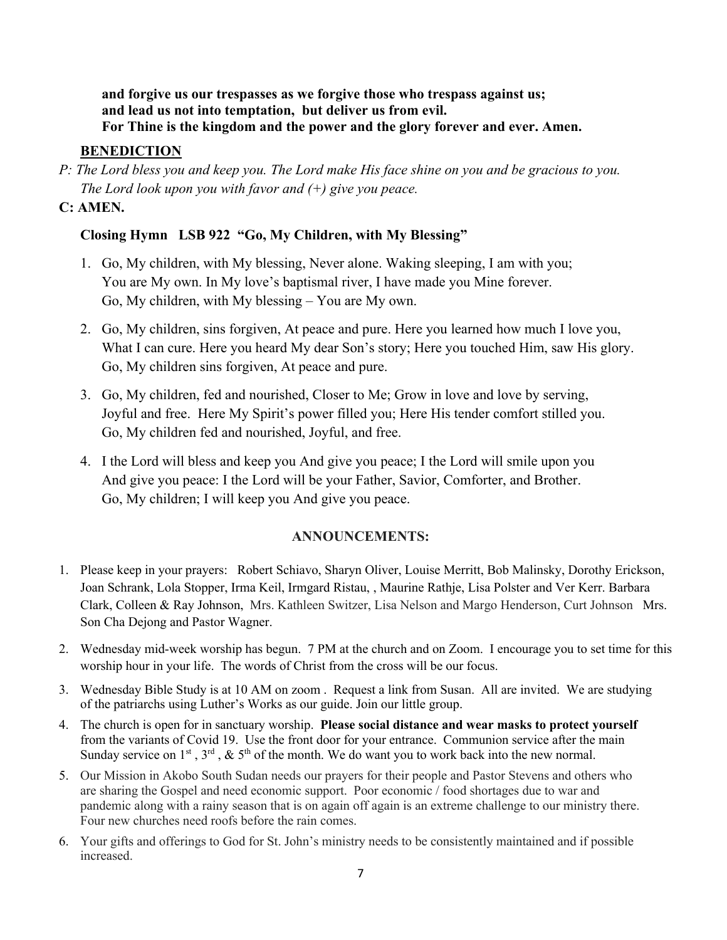**and forgive us our trespasses as we forgive those who trespass against us; and lead us not into temptation, but deliver us from evil. For Thine is the kingdom and the power and the glory forever and ever. Amen.**

### **BENEDICTION**

*P: The Lord bless you and keep you. The Lord make His face shine on you and be gracious to you. The Lord look upon you with favor and (+) give you peace.*

## **C: AMEN.**

# **Closing Hymn LSB 922 "Go, My Children, with My Blessing"**

- 1. Go, My children, with My blessing, Never alone. Waking sleeping, I am with you; You are My own. In My love's baptismal river, I have made you Mine forever. Go, My children, with My blessing – You are My own.
- 2. Go, My children, sins forgiven, At peace and pure. Here you learned how much I love you, What I can cure. Here you heard My dear Son's story; Here you touched Him, saw His glory. Go, My children sins forgiven, At peace and pure.
- 3. Go, My children, fed and nourished, Closer to Me; Grow in love and love by serving, Joyful and free. Here My Spirit's power filled you; Here His tender comfort stilled you. Go, My children fed and nourished, Joyful, and free.
- 4. I the Lord will bless and keep you And give you peace; I the Lord will smile upon you And give you peace: I the Lord will be your Father, Savior, Comforter, and Brother. Go, My children; I will keep you And give you peace.

### **ANNOUNCEMENTS:**

- 1. Please keep in your prayers: Robert Schiavo, Sharyn Oliver, Louise Merritt, Bob Malinsky, Dorothy Erickson, Joan Schrank, Lola Stopper, Irma Keil, Irmgard Ristau, , Maurine Rathje, Lisa Polster and Ver Kerr. Barbara Clark, Colleen & Ray Johnson, Mrs. Kathleen Switzer, Lisa Nelson and Margo Henderson, Curt Johnson Mrs. Son Cha Dejong and Pastor Wagner.
- 2. Wednesday mid-week worship has begun. 7 PM at the church and on Zoom. I encourage you to set time for this worship hour in your life. The words of Christ from the cross will be our focus.
- 3. Wednesday Bible Study is at 10 AM on zoom . Request a link from Susan. All are invited. We are studying of the patriarchs using Luther's Works as our guide. Join our little group.
- 4. The church is open for in sanctuary worship. **Please social distance and wear masks to protect yourself** from the variants of Covid 19. Use the front door for your entrance. Communion service after the main Sunday service on  $1^{st}$ ,  $3^{rd}$ ,  $\&$  5<sup>th</sup> of the month. We do want you to work back into the new normal.
- 5. Our Mission in Akobo South Sudan needs our prayers for their people and Pastor Stevens and others who are sharing the Gospel and need economic support. Poor economic / food shortages due to war and pandemic along with a rainy season that is on again off again is an extreme challenge to our ministry there. Four new churches need roofs before the rain comes.
- 6. Your gifts and offerings to God for St. John's ministry needs to be consistently maintained and if possible increased.